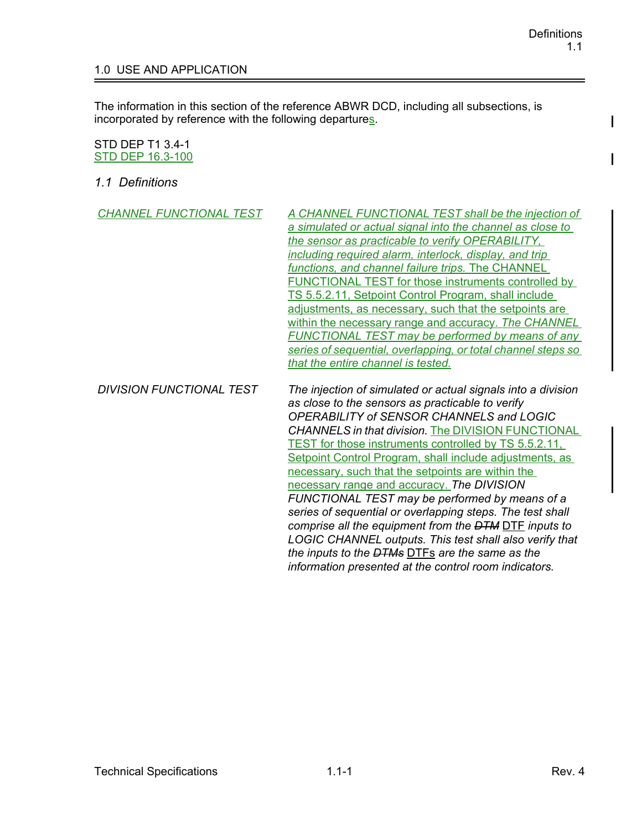$\mathbf{I}$ 

## 1.0 USE AND APPLICATION

The information in this section of the reference ABWR DCD, including all subsections, is incorporated by reference with the following departures.

## STD DEP T1 3.4-1 STD DEP 16.3-100

*1.1 Definitions*

| <b>CHANNEL FUNCTIONAL TEST</b>  | A CHANNEL FUNCTIONAL TEST shall be the injection of<br>a simulated or actual signal into the channel as close to<br>the sensor as practicable to verify OPERABILITY.<br>including required alarm, interlock, display, and trip<br>functions, and channel failure trips. The CHANNEL<br><b>FUNCTIONAL TEST for those instruments controlled by</b><br>TS 5.5.2.11, Setpoint Control Program, shall include<br>adjustments, as necessary, such that the setpoints are<br>within the necessary range and accuracy. The CHANNEL<br><b>FUNCTIONAL TEST may be performed by means of any</b><br>series of sequential, overlapping, or total channel steps so<br>that the entire channel is tested.                                                                                                                      |
|---------------------------------|-------------------------------------------------------------------------------------------------------------------------------------------------------------------------------------------------------------------------------------------------------------------------------------------------------------------------------------------------------------------------------------------------------------------------------------------------------------------------------------------------------------------------------------------------------------------------------------------------------------------------------------------------------------------------------------------------------------------------------------------------------------------------------------------------------------------|
| <b>DIVISION FUNCTIONAL TEST</b> | The injection of simulated or actual signals into a division<br>as close to the sensors as practicable to verify<br>OPERABILITY of SENSOR CHANNELS and LOGIC<br><b>CHANNELS in that division. The DIVISION FUNCTIONAL</b><br><b>TEST</b> for those instruments controlled by TS 5.5.2.11,<br>Setpoint Control Program, shall include adjustments, as<br>necessary, such that the setpoints are within the<br>necessary range and accuracy. The DIVISION<br>FUNCTIONAL TEST may be performed by means of a<br>series of sequential or overlapping steps. The test shall<br>comprise all the equipment from the DTM DTF inputs to<br>LOGIC CHANNEL outputs. This test shall also verify that<br>the inputs to the <del>DTMs</del> DTFs are the same as the<br>information presented at the control room indicators. |